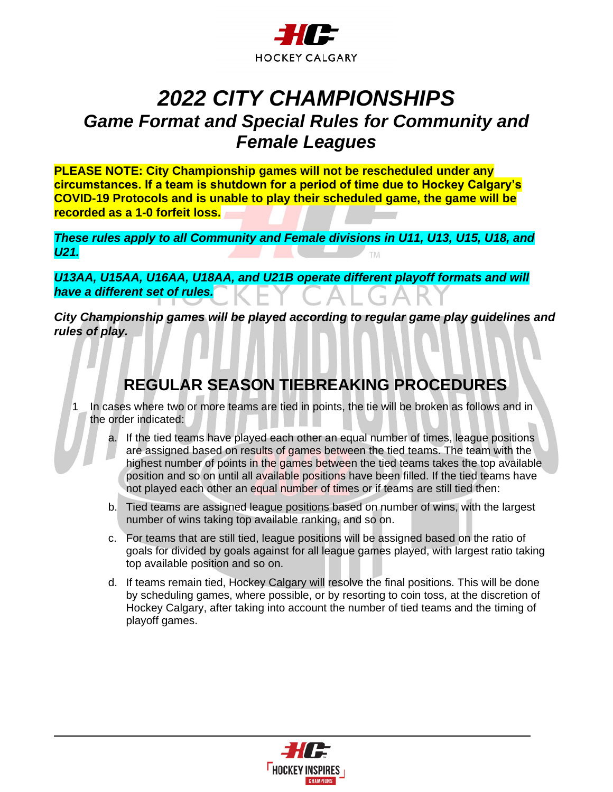

# *2022 CITY CHAMPIONSHIPS Game Format and Special Rules for Community and Female Leagues*

**PLEASE NOTE: City Championship games will not be rescheduled under any circumstances. If a team is shutdown for a period of time due to Hockey Calgary's COVID-19 Protocols and is unable to play their scheduled game, the game will be recorded as a 1-0 forfeit loss.**

*These rules apply to all Community and Female divisions in U11, U13, U15, U18, and U21.*  **TM** 

*U13AA, U15AA, U16AA, U18AA, and U21B operate different playoff formats and will have a different set of rules.*

*City Championship games will be played according to regular game play guidelines and rules of play.* 

#### **REGULAR SEASON TIEBREAKING PROCEDURES**

In cases where two or more teams are tied in points, the tie will be broken as follows and in the order indicated:

- a. If the tied teams have played each other an equal number of times, league positions are assigned based on results of games between the tied teams. The team with the highest number of points in the games between the tied teams takes the top available position and so on until all available positions have been filled. If the tied teams have not played each other an equal number of times or if teams are still tied then:
- b. Tied teams are assigned league positions based on number of wins, with the largest number of wins taking top available ranking, and so on.
- c. For teams that are still tied, league positions will be assigned based on the ratio of goals for divided by goals against for all league games played, with largest ratio taking top available position and so on.
- d. If teams remain tied, Hockey Calgary will resolve the final positions. This will be done by scheduling games, where possible, or by resorting to coin toss, at the discretion of Hockey Calgary, after taking into account the number of tied teams and the timing of playoff games.

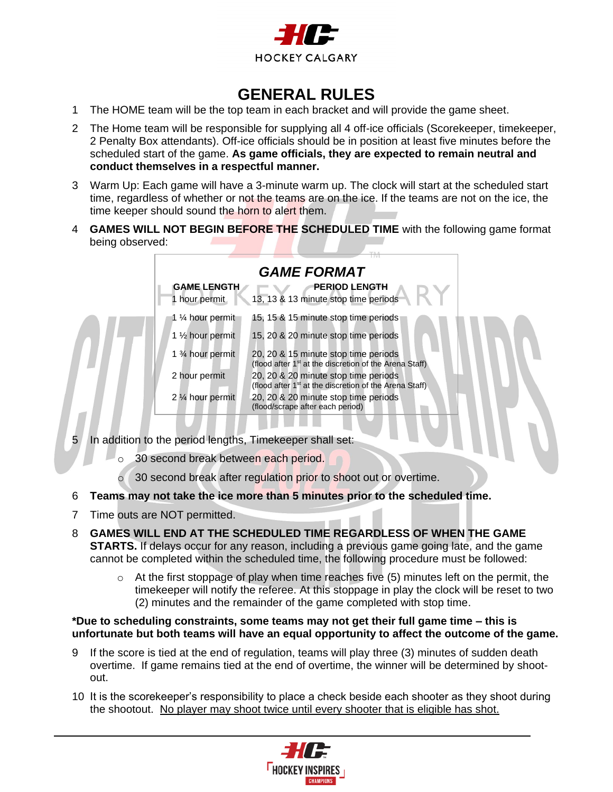

#### **GENERAL RULES**

- 1 The HOME team will be the top team in each bracket and will provide the game sheet.
- 2 The Home team will be responsible for supplying all 4 off-ice officials (Scorekeeper, timekeeper, 2 Penalty Box attendants). Off-ice officials should be in position at least five minutes before the scheduled start of the game. **As game officials, they are expected to remain neutral and conduct themselves in a respectful manner.**
- 3 Warm Up: Each game will have a 3-minute warm up. The clock will start at the scheduled start time, regardless of whether or not the teams are on the ice. If the teams are not on the ice, the time keeper should sound the horn to alert them.
- 4 **GAMES WILL NOT BEGIN BEFORE THE SCHEDULED TIME** with the following game format being observed:



- 5 In addition to the period lengths, Timekeeper shall set:
	- o 30 second break between each period.
	- o 30 second break after regulation prior to shoot out or overtime.
- 6 **Teams may not take the ice more than 5 minutes prior to the scheduled time.**
- 7 Time outs are NOT permitted.
- 8 **GAMES WILL END AT THE SCHEDULED TIME REGARDLESS OF WHEN THE GAME STARTS.** If delays occur for any reason, including a previous game going late, and the game cannot be completed within the scheduled time, the following procedure must be followed:
	- $\circ$  At the first stoppage of play when time reaches five (5) minutes left on the permit, the timekeeper will notify the referee. At this stoppage in play the clock will be reset to two (2) minutes and the remainder of the game completed with stop time.

#### **\*Due to scheduling constraints, some teams may not get their full game time – this is unfortunate but both teams will have an equal opportunity to affect the outcome of the game.**

- 9 If the score is tied at the end of regulation, teams will play three (3) minutes of sudden death overtime. If game remains tied at the end of overtime, the winner will be determined by shootout.
- 10 It is the scorekeeper's responsibility to place a check beside each shooter as they shoot during the shootout. No player may shoot twice until every shooter that is eligible has shot.

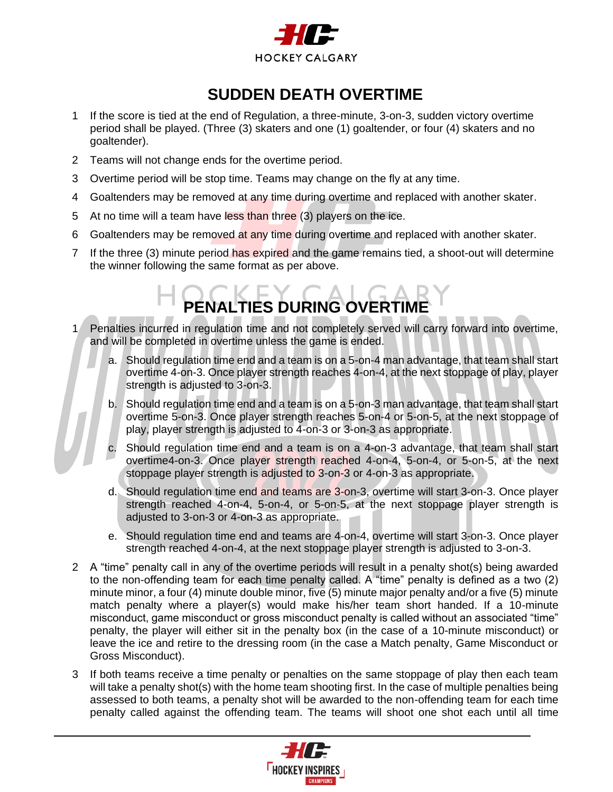

#### **SUDDEN DEATH OVERTIME**

- 1 If the score is tied at the end of Regulation, a three-minute, 3-on-3, sudden victory overtime period shall be played. (Three (3) skaters and one (1) goaltender, or four (4) skaters and no goaltender).
- 2 Teams will not change ends for the overtime period.
- 3 Overtime period will be stop time. Teams may change on the fly at any time.
- 4 Goaltenders may be removed at any time during overtime and replaced with another skater.
- 5 At no time will a team have less than three (3) players on the ice.
- 6 Goaltenders may be removed at any time during overtime and replaced with another skater.
- 7 If the three (3) minute period has expired and the game remains tied, a shoot-out will determine the winner following the same format as per above.

# **PENALTIES DURING OVERTIME**

- 1 Penalties incurred in regulation time and not completely served will carry forward into overtime, and will be completed in overtime unless the game is ended.
	- a. Should regulation time end and a team is on a 5-on-4 man advantage, that team shall start overtime 4-on-3. Once player strength reaches 4-on-4, at the next stoppage of play, player strength is adjusted to 3-on-3.
	- b. Should regulation time end and a team is on a 5-on-3 man advantage, that team shall start overtime 5-on-3. Once player strength reaches 5-on-4 or 5-on-5, at the next stoppage of play, player strength is adjusted to 4-on-3 or 3-on-3 as appropriate.
	- Should regulation time end and a team is on a 4-on-3 advantage, that team shall start overtime4-on-3. Once player strength reached 4-on-4, 5-on-4, or 5-on-5, at the next stoppage player strength is adjusted to 3-on-3 or 4-on-3 as appropriate.
	- d. Should regulation time end and teams are 3-on-3, overtime will start 3-on-3. Once player strength reached 4-on-4, 5-on-4, or 5-on-5, at the next stoppage player strength is adjusted to 3-on-3 or 4-on-3 as appropriate.
	- e. Should regulation time end and teams are 4-on-4, overtime will start 3-on-3. Once player strength reached 4-on-4, at the next stoppage player strength is adjusted to 3-on-3.
- 2 A "time" penalty call in any of the overtime periods will result in a penalty shot(s) being awarded to the non-offending team for each time penalty called. A "time" penalty is defined as a two (2) minute minor, a four (4) minute double minor, five (5) minute major penalty and/or a five (5) minute match penalty where a player(s) would make his/her team short handed. If a 10-minute misconduct, game misconduct or gross misconduct penalty is called without an associated "time" penalty, the player will either sit in the penalty box (in the case of a 10-minute misconduct) or leave the ice and retire to the dressing room (in the case a Match penalty, Game Misconduct or Gross Misconduct).
- 3 If both teams receive a time penalty or penalties on the same stoppage of play then each team will take a penalty shot(s) with the home team shooting first. In the case of multiple penalties being assessed to both teams, a penalty shot will be awarded to the non-offending team for each time penalty called against the offending team. The teams will shoot one shot each until all time

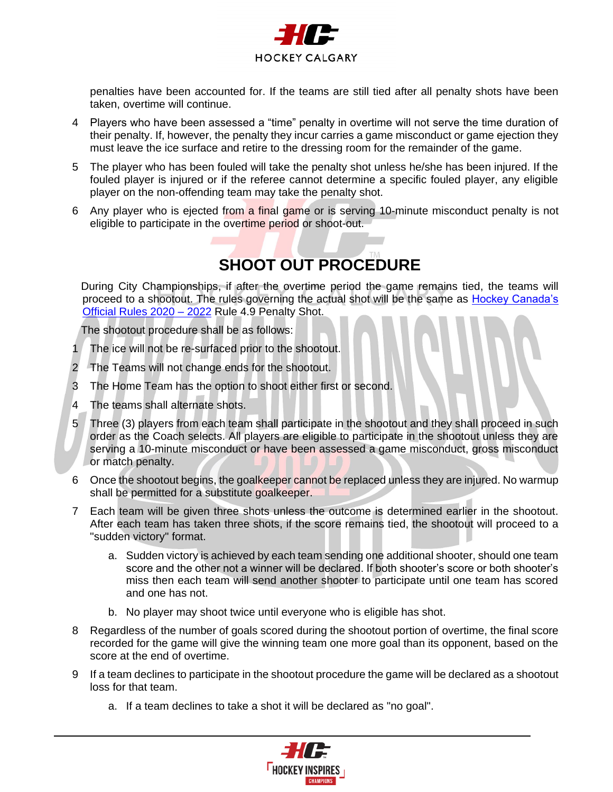

penalties have been accounted for. If the teams are still tied after all penalty shots have been taken, overtime will continue.

- 4 Players who have been assessed a "time" penalty in overtime will not serve the time duration of their penalty. If, however, the penalty they incur carries a game misconduct or game ejection they must leave the ice surface and retire to the dressing room for the remainder of the game.
- 5 The player who has been fouled will take the penalty shot unless he/she has been injured. If the fouled player is injured or if the referee cannot determine a specific fouled player, any eligible player on the non-offending team may take the penalty shot.
- 6 Any player who is ejected from a final game or is serving 10-minute misconduct penalty is not eligible to participate in the overtime period or shoot-out.

## **SHOOT OUT PROCEDURE**

During City Championships, if after the overtime period the game remains tied, the teams will proceed to a shootout. The rules governing the actual shot will be the same as [Hockey Canada's](https://cdn.hockeycanada.ca/hockey-canada/Hockey-Programs/Officiating/Downloads/rulebook_casebook_e.pdf)  [Official Rules 2020 –](https://cdn.hockeycanada.ca/hockey-canada/Hockey-Programs/Officiating/Downloads/rulebook_casebook_e.pdf) 2022 Rule 4.9 Penalty Shot.

The shootout procedure shall be as follows:

- The ice will not be re-surfaced prior to the shootout.
- 2 The Teams will not change ends for the shootout.
- 3 The Home Team has the option to shoot either first or second.
- 4 The teams shall alternate shots.
- 5 Three (3) players from each team shall participate in the shootout and they shall proceed in such order as the Coach selects. All players are eligible to participate in the shootout unless they are serving a 10-minute misconduct or have been assessed a game misconduct, gross misconduct or match penalty.
- 6 Once the shootout begins, the goalkeeper cannot be replaced unless they are injured. No warmup shall be permitted for a substitute goalkeeper.
- 7 Each team will be given three shots unless the outcome is determined earlier in the shootout. After each team has taken three shots, if the score remains tied, the shootout will proceed to a "sudden victory" format.
	- a. Sudden victory is achieved by each team sending one additional shooter, should one team score and the other not a winner will be declared. If both shooter's score or both shooter's miss then each team will send another shooter to participate until one team has scored and one has not.
	- b. No player may shoot twice until everyone who is eligible has shot.
- 8 Regardless of the number of goals scored during the shootout portion of overtime, the final score recorded for the game will give the winning team one more goal than its opponent, based on the score at the end of overtime.
- 9 If a team declines to participate in the shootout procedure the game will be declared as a shootout loss for that team.
	- a. If a team declines to take a shot it will be declared as "no goal".